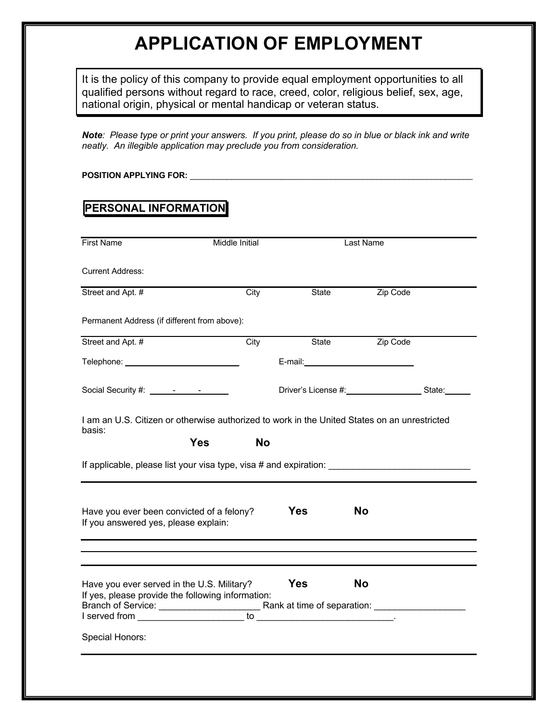# **APPLICATION OF EMPLOYMENT**

It is the policy of this company to provide equal employment opportunities to all qualified persons without regard to race, creed, color, religious belief, sex, age, national origin, physical or mental handicap or veteran status.

*Note: Please type or print your answers. If you print, please do so in blue or black ink and write neatly. An illegible application may preclude you from consideration.*

#### **POSITION APPLYING FOR:** \_\_\_\_\_\_\_\_\_\_\_\_\_\_\_\_\_\_\_\_\_\_\_\_\_\_\_\_\_\_\_\_\_\_\_\_\_\_\_\_\_\_\_\_\_\_\_\_\_\_\_\_\_\_\_\_\_\_\_\_\_\_

## **PERSONAL INFORMATION**

|                                                                                                        | Middle Initial          |            | Last Name                         |  |
|--------------------------------------------------------------------------------------------------------|-------------------------|------------|-----------------------------------|--|
| <b>Current Address:</b>                                                                                |                         |            |                                   |  |
| Street and Apt. #                                                                                      | City                    | State      | Zip Code                          |  |
| Permanent Address (if different from above):                                                           |                         |            |                                   |  |
| Street and Apt. #                                                                                      | City                    | State      | Zip Code                          |  |
| Telephone: _______________________________                                                             |                         |            |                                   |  |
|                                                                                                        |                         |            | Driver's License #: State: State: |  |
| I am an U.S. Citizen or otherwise authorized to work in the United States on an unrestricted<br>basis: | <b>Yes</b><br><b>No</b> |            |                                   |  |
| If applicable, please list your visa type, visa # and expiration: __________________________________   |                         |            |                                   |  |
| Have you ever been convicted of a felony?<br>If you answered yes, please explain:                      |                         | <b>Yes</b> | <b>No</b>                         |  |
|                                                                                                        |                         |            |                                   |  |
| Have you ever served in the U.S. Military?                                                             |                         | <b>Yes</b> | <b>No</b>                         |  |
|                                                                                                        |                         |            |                                   |  |
| If yes, please provide the following information:                                                      |                         |            |                                   |  |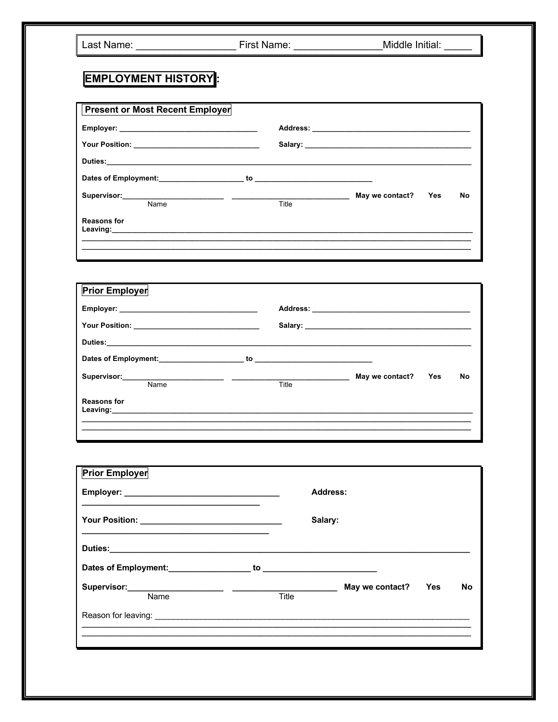| Last Name: <u>Name:</u> First Name: Name: Name: Name: Name: Name: Name: Name: Name: Name: Name: Name: Name: Name: Name: Name: Name: Name: Name: Name: Name: Name: Name: Name: Name: Name: Name: Name: Name: Name: Name: Name: Name: |       | Middle Initial: ________  |
|-------------------------------------------------------------------------------------------------------------------------------------------------------------------------------------------------------------------------------------|-------|---------------------------|
|                                                                                                                                                                                                                                     |       |                           |
| <b>EMPLOYMENT HISTORY</b> :                                                                                                                                                                                                         |       |                           |
|                                                                                                                                                                                                                                     |       |                           |
| <b>Present or Most Recent Employer</b>                                                                                                                                                                                              |       |                           |
|                                                                                                                                                                                                                                     |       |                           |
| Your Position: <u>_____________________________</u>                                                                                                                                                                                 |       |                           |
|                                                                                                                                                                                                                                     |       |                           |
| Dates of Employment: the contract of the contract of the contract of the contract of the contract of the contract of the contract of the contract of the contract of the contract of the contract of the contract of the contr      |       |                           |
|                                                                                                                                                                                                                                     |       | May we contact? Yes<br>No |
| Name                                                                                                                                                                                                                                | Title |                           |

 $-$ 

 $\overline{\phantom{a}}$ 

 $\overline{a}$ 

No

Yes

 $\overline{\phantom{0}}$ May we contact?

**Reasons for** Leaving:

**Prior Employer** 

Duties:

Supervisor:

**Reasons for** 

Name

| <b>Prior Employer</b>                                                                                                                                                                                                                |  |              |                     |  |    |
|--------------------------------------------------------------------------------------------------------------------------------------------------------------------------------------------------------------------------------------|--|--------------|---------------------|--|----|
|                                                                                                                                                                                                                                      |  |              | Address:            |  |    |
| Your Position: __________________________________                                                                                                                                                                                    |  | Salary:      |                     |  |    |
|                                                                                                                                                                                                                                      |  |              |                     |  |    |
|                                                                                                                                                                                                                                      |  |              |                     |  |    |
| Name                                                                                                                                                                                                                                 |  | <b>Title</b> | May we contact? Yes |  | No |
| Reason for leaving: <b>contained a set of the set of the set of the set of the set of the set of the set of the set of the set of the set of the set of the set of the set of the set of the set of the set of the set of the se</b> |  |              |                     |  |    |

 $Title$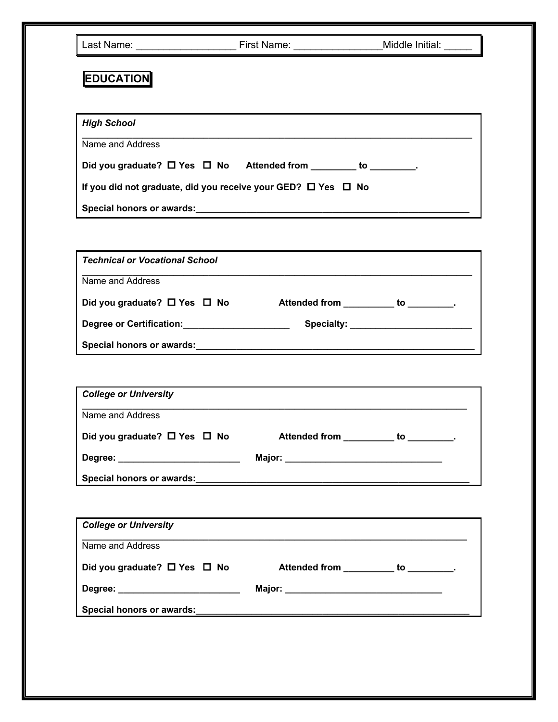| Last Name: <u>________________</u> |                                                                            | First Name: Middle Initial: Nightland Middle Initial: |
|------------------------------------|----------------------------------------------------------------------------|-------------------------------------------------------|
| <b>EDUCATION</b>                   |                                                                            |                                                       |
|                                    |                                                                            |                                                       |
| <b>High School</b>                 |                                                                            |                                                       |
| Name and Address                   |                                                                            |                                                       |
|                                    | Did you graduate? $\Box$ Yes $\Box$ No Attended from ________ to ________. |                                                       |
|                                    | If you did not graduate, did you receive your GED? $\Box$ Yes $\Box$ No    |                                                       |
|                                    | Special honors or awards: Special honors or awards:                        |                                                       |

| <b>Technical or Vocational School</b>  |                                                                                                                                                                                                                               |  |
|----------------------------------------|-------------------------------------------------------------------------------------------------------------------------------------------------------------------------------------------------------------------------------|--|
| Name and Address                       |                                                                                                                                                                                                                               |  |
| Did you graduate? $\Box$ Yes $\Box$ No | Attended from to to the set of the set of the set of the set of the set of the set of the set of the set of the set of the set of the set of the set of the set of the set of the set of the set of the set of the set of the |  |
| Degree or Certification:               |                                                                                                                                                                                                                               |  |
| <b>Special honors or awards:</b>       |                                                                                                                                                                                                                               |  |

| <b>College or University</b>           |                                                                                                                                                                                                                               |
|----------------------------------------|-------------------------------------------------------------------------------------------------------------------------------------------------------------------------------------------------------------------------------|
| Name and Address                       |                                                                                                                                                                                                                               |
| Did you graduate? $\Box$ Yes $\Box$ No | Attended from to to the set of the set of the set of the set of the set of the set of the set of the set of the set of the set of the set of the set of the set of the set of the set of the set of the set of the set of the |
| Degree: ________________________       | Major: ________________________                                                                                                                                                                                               |
| Special honors or awards:              |                                                                                                                                                                                                                               |

| <b>College or University</b>      |                                                                                                                                                                                                                               |
|-----------------------------------|-------------------------------------------------------------------------------------------------------------------------------------------------------------------------------------------------------------------------------|
| Name and Address                  |                                                                                                                                                                                                                               |
| Did you graduate? □ Yes □ No      | Attended from to to the set of the set of the set of the set of the set of the set of the set of the set of the set of the set of the set of the set of the set of the set of the set of the set of the set of the set of the |
| Degree: _________________________ | Major: _________________________________                                                                                                                                                                                      |
| Special honors or awards:         |                                                                                                                                                                                                                               |